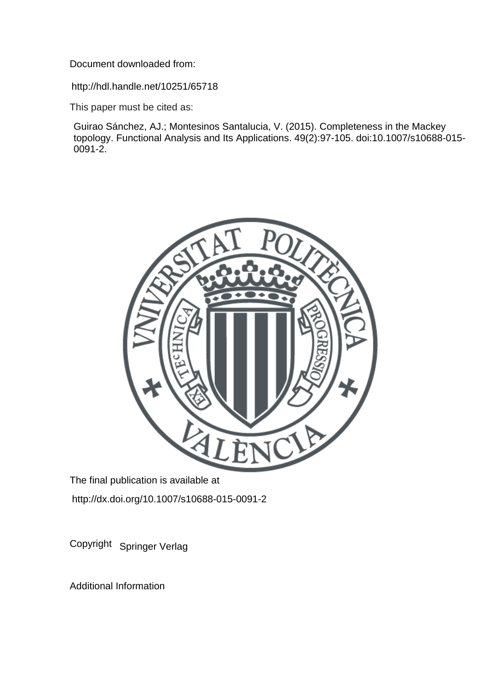Document downloaded from:

http://hdl.handle.net/10251/65718

This paper must be cited as:

Guirao Sánchez, AJ.; Montesinos Santalucia, V. (2015). Completeness in the Mackey topology. Functional Analysis and Its Applications. 49(2):97-105. doi:10.1007/s10688-015-  $0091 - 2.$ 



The final publication is available at http://dx.doi.org/10.1007/s10688-015-0091-2

Copyright Springer Verlag

Additional Information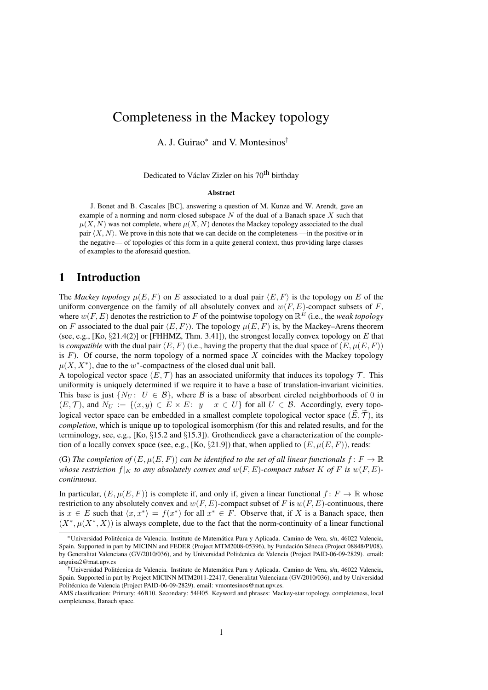# Completeness in the Mackey topology

A. J. Guirao<sup>∗</sup> and V. Montesinos<sup>†</sup>

Dedicated to Václav Zizler on his 70<sup>th</sup> birthday

### Abstract

J. Bonet and B. Cascales [BC], answering a question of M. Kunze and W. Arendt, gave an example of a norming and norm-closed subspace  $N$  of the dual of a Banach space  $X$  such that  $\mu(X, N)$  was not complete, where  $\mu(X, N)$  denotes the Mackey topology associated to the dual pair  $\langle X, N \rangle$ . We prove in this note that we can decide on the completeness —in the positive or in the negative— of topologies of this form in a quite general context, thus providing large classes of examples to the aforesaid question.

# 1 Introduction

The *Mackey topology*  $\mu(E, F)$  on E associated to a dual pair  $\langle E, F \rangle$  is the topology on E of the uniform convergence on the family of all absolutely convex and  $w(F, E)$ -compact subsets of F, where  $w(F, E)$  denotes the restriction to F of the pointwise topology on  $\mathbb{R}^E$  (i.e., the *weak topology* on F associated to the dual pair  $\langle E, F \rangle$ ). The topology  $\mu(E, F)$  is, by the Mackey–Arens theorem (see, e.g., [Ko,  $\S21.4(2)$ ] or [FHHMZ, Thm. 3.41]), the strongest locally convex topology on E that is *compatible* with the dual pair  $\langle E, F \rangle$  (i.e., having the property that the dual space of  $(E, \mu(E, F))$ ) is  $F$ ). Of course, the norm topology of a normed space X coincides with the Mackey topology  $\mu(X, X^*)$ , due to the w<sup>\*</sup>-compactness of the closed dual unit ball.

A topological vector space  $(E, \mathcal{T})$  has an associated uniformity that induces its topology  $\mathcal{T}$ . This uniformity is uniquely determined if we require it to have a base of translation-invariant vicinities. This base is just  $\{N_U: U \in \mathcal{B}\}\$ , where  $\mathcal B$  is a base of absorbent circled neighborhoods of 0 in  $(E, \mathcal{T})$ , and  $N_U := \{(x, y) \in E \times E : y - x \in U\}$  for all  $U \in \mathcal{B}$ . Accordingly, every topological vector space can be embedded in a smallest complete topological vector space  $(E, \mathcal{T})$ , its *completion*, which is unique up to topological isomorphism (for this and related results, and for the terminology, see, e.g., [Ko,  $\S15.2$  and  $\S15.3$ ]). Grothendieck gave a characterization of the completion of a locally convex space (see, e.g., [Ko, §21.9]) that, when applied to  $(E, \mu(E, F))$ , reads:

(G) The completion of  $(E, \mu(E, F))$  can be identified to the set of all linear functionals  $f: F \to \mathbb{R}$ *whose restriction*  $f|_K$  *to any absolutely convex and*  $w(F, E)$ *-compact subset* K of F is  $w(F, E)$ *continuous*.

In particular,  $(E, \mu(E, F))$  is complete if, and only if, given a linear functional  $f: F \to \mathbb{R}$  whose restriction to any absolutely convex and  $w(F, E)$ -compact subset of F is  $w(F, E)$ -continuous, there is  $x \in E$  such that  $\langle x, x^* \rangle = f(x^*)$  for all  $x^* \in F$ . Observe that, if X is a Banach space, then  $(X^*, \mu(X^*, X))$  is always complete, due to the fact that the norm-continuity of a linear functional

<sup>\*</sup>Universidad Politécnica de Valencia. Instituto de Matemática Pura y Aplicada. Camino de Vera, s/n, 46022 Valencia, Spain. Supported in part by MICINN and FEDER (Project MTM2008-05396), by Fundación Séneca (Project 08848/PI/08), by Generalitat Valenciana (GV/2010/036), and by Universidad Politecnica de Valencia (Project PAID-06-09-2829). email: ´ anguisa2@mat.upv.es

<sup>&</sup>lt;sup>†</sup>Universidad Politécnica de Valencia. Instituto de Matemática Pura y Aplicada. Camino de Vera, s/n, 46022 Valencia, Spain. Supported in part by Project MICINN MTM2011-22417, Generalitat Valenciana (GV/2010/036), and by Universidad Politecnica de Valencia (Project PAID-06-09-2829). email: vmontesinos@mat.upv.es. ´

AMS classification: Primary: 46B10. Secondary: 54H05. Keyword and phrases: Mackey-star topology, completeness, local completeness, Banach space.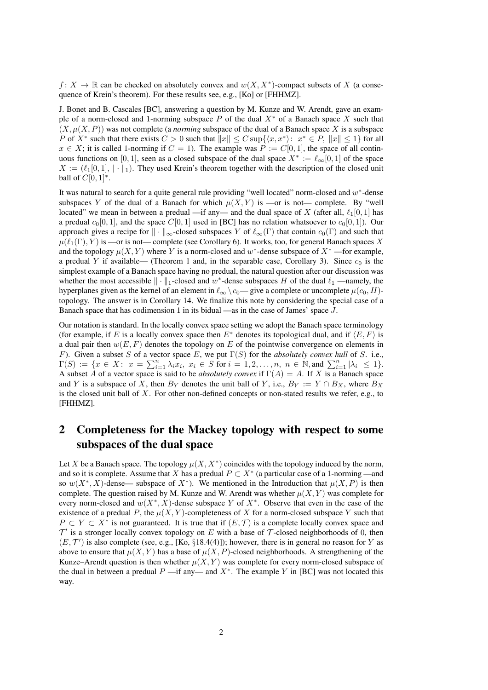$f: X \to \mathbb{R}$  can be checked on absolutely convex and  $w(X, X^*)$ -compact subsets of X (a consequence of Krein's theorem). For these results see, e.g., [Ko] or [FHHMZ].

J. Bonet and B. Cascales [BC], answering a question by M. Kunze and W. Arendt, gave an example of a norm-closed and 1-norming subspace P of the dual  $X^*$  of a Banach space X such that  $(X, \mu(X, P))$  was not complete (a *norming* subspace of the dual of a Banach space X is a subspace P of X<sup>\*</sup> such that there exists  $C > 0$  such that  $||x|| \leq C \sup\{\langle x, x^*\rangle : x^* \in P, ||x|| \leq 1\}$  for all  $x \in X$ ; it is called 1-norming if  $C = 1$ ). The example was  $P := C[0, 1]$ , the space of all continuous functions on [0, 1], seen as a closed subspace of the dual space  $X^* := \ell_{\infty}[0, 1]$  of the space  $X := (\ell_1[0, 1], || \cdot ||_1)$ . They used Krein's theorem together with the description of the closed unit ball of  $C[0, 1]^*$ .

It was natural to search for a quite general rule providing "well located" norm-closed and  $w^*$ -dense subspaces Y of the dual of a Banach for which  $\mu(X, Y)$  is —or is not— complete. By "well located" we mean in between a predual —if any— and the dual space of X (after all,  $\ell_1[0, 1]$  has a predual  $c_0[0, 1]$ , and the space  $C[0, 1]$  used in [BC] has no relation whatsoever to  $c_0[0, 1]$ . Our approach gives a recipe for  $\|\cdot\|_{\infty}$ -closed subspaces Y of  $\ell_{\infty}(\Gamma)$  that contain  $c_0(\Gamma)$  and such that  $\mu(\ell_1(\Gamma), Y)$  is —or is not— complete (see Corollary 6). It works, too, for general Banach spaces X and the topology  $\mu(X, Y)$  where Y is a norm-closed and w<sup>\*</sup>-dense subspace of  $X^*$  —for example, a predual Y if available— (Theorem 1 and, in the separable case, Corollary 3). Since  $c_0$  is the simplest example of a Banach space having no predual, the natural question after our discussion was whether the most accessible  $\|\cdot\|_1$ -closed and w<sup>\*</sup>-dense subspaces H of the dual  $\ell_1$  —namely, the hyperplanes given as the kernel of an element in  $\ell_{\infty} \backslash c_0$ — give a complete or uncomplete  $\mu(c_0, H)$ topology. The answer is in Corollary 14. We finalize this note by considering the special case of a Banach space that has codimension 1 in its bidual —as in the case of James' space J.

Our notation is standard. In the locally convex space setting we adopt the Banach space terminology (for example, if E is a locally convex space then  $E^*$  denotes its topological dual, and if  $\langle E, F \rangle$  is a dual pair then  $w(E, F)$  denotes the topology on E of the pointwise convergence on elements in F). Given a subset S of a vector space E, we put  $\Gamma(S)$  for the *absolutely convex hull* of S. i.e.,  $\Gamma(S) := \{x \in X: \ x = \sum_{i=1}^n \lambda_i x_i, \ x_i \in S \text{ for } i = 1, 2, ..., n, \ n \in \mathbb{N} \text{, and } \sum_{i=1}^n |\lambda_i| \leq 1\}.$ A subset A of a vector space is said to be *absolutely convex* if  $\Gamma(A) = A$ . If X is a Banach space and Y is a subspace of X, then  $B_Y$  denotes the unit ball of Y, i.e.,  $B_Y := Y \cap B_X$ , where  $B_X$ is the closed unit ball of  $X$ . For other non-defined concepts or non-stated results we refer, e.g., to [FHHMZ].

# 2 Completeness for the Mackey topology with respect to some subspaces of the dual space

Let X be a Banach space. The topology  $\mu(X, X^*)$  coincides with the topology induced by the norm, and so it is complete. Assume that X has a predual  $P \subset X^*$  (a particular case of a 1-norming —and so  $w(X^*, X)$ -dense— subspace of  $X^*$ ). We mentioned in the Introduction that  $\mu(X, P)$  is then complete. The question raised by M. Kunze and W. Arendt was whether  $\mu(X, Y)$  was complete for every norm-closed and  $w(X^*, X)$ -dense subspace Y of  $X^*$ . Observe that even in the case of the existence of a predual P, the  $\mu(X, Y)$ -completeness of X for a norm-closed subspace Y such that  $P \subset Y \subset X^*$  is not guaranteed. It is true that if  $(E, \mathcal{T})$  is a complete locally convex space and  $\mathcal{T}'$  is a stronger locally convex topology on E with a base of T-closed neighborhoods of 0, then  $(E, \mathcal{T}')$  is also complete (see, e.g., [Ko, §18.4(4)]); however, there is in general no reason for Y as above to ensure that  $\mu(X, Y)$  has a base of  $\mu(X, P)$ -closed neighborhoods. A strengthening of the Kunze–Arendt question is then whether  $\mu(X, Y)$  was complete for every norm-closed subspace of the dual in between a predual  $P$  —if any— and  $X^*$ . The example Y in [BC] was not located this way.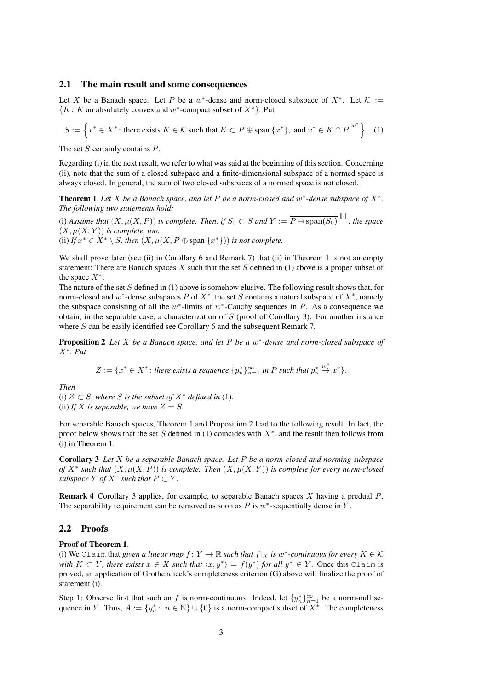## 2.1 The main result and some consequences

Let X be a Banach space. Let P be a w<sup>\*</sup>-dense and norm-closed subspace of  $X^*$ . Let  $K :=$  ${K: K$  an absolutely convex and w\*-compact subset of  $X^*$ . Put

$$
S := \left\{ x^* \in X^* \colon \text{there exists } K \in \mathcal{K} \text{ such that } K \subset P \oplus \text{span } \{x^*\}, \text{ and } x^* \in \overline{K \cap P}^{w^*} \right\}. \tag{1}
$$

The set S certainly contains P.

Regarding (i) in the next result, we refer to what was said at the beginning of this section. Concerning (ii), note that the sum of a closed subspace and a finite-dimensional subspace of a normed space is always closed. In general, the sum of two closed subspaces of a normed space is not closed.

**Theorem 1** Let  $X$  be a Banach space, and let  $P$  be a norm-closed and  $w^*$ -dense subspace of  $X^*$ . *The following two statements hold:*

(i) *Assume that*  $(X, \mu(X, P))$  *is complete. Then, if*  $S_0 \subset S$  *and*  $Y := \overline{P \oplus \text{span}(S_0)}^{\|\cdot\|}$ , *the space*  $(X, \mu(X, Y))$  *is complete, too.* (ii) *If*  $x^* \in X^* \setminus S$ *, then*  $(X, \mu(X, P \oplus \text{span } \{x^*\})$ *) is not complete.* 

We shall prove later (see (ii) in Corollary 6 and Remark 7) that (ii) in Theorem 1 is not an empty statement: There are Banach spaces  $X$  such that the set  $S$  defined in (1) above is a proper subset of the space  $X^*$ .

The nature of the set S defined in (1) above is somehow elusive. The following result shows that, for norm-closed and  $w^*$ -dense subspaces P of  $X^*$ , the set S contains a natural subspace of  $X^*$ , namely the subspace consisting of all the  $w^*$ -limits of  $w^*$ -Cauchy sequences in P. As a consequence we obtain, in the separable case, a characterization of  $S$  (proof of Corollary 3). For another instance where S can be easily identified see Corollary 6 and the subsequent Remark 7.

**Proposition 2** Let X be a Banach space, and let P be a w\*-dense and norm-closed subspace of X<sup>∗</sup> *. Put*

$$
Z := \{x^* \in X^* : \text{there exists a sequence } \{p_n^*\}_{n=1}^\infty \text{ in } P \text{ such that } p_n^* \stackrel{w^*}{\to} x^*\}.
$$

*Then*

(i)  $Z \subset S$ *, where* S is the subset of  $X^*$  defined in (1). (ii) If X is separable, we have  $Z = S$ .

For separable Banach spaces, Theorem 1 and Proposition 2 lead to the following result. In fact, the proof below shows that the set S defined in (1) coincides with  $X^*$ , and the result then follows from (i) in Theorem 1.

Corollary 3 *Let* X *be a separable Banach space. Let* P *be a norm-closed and norming subspace of*  $X^*$  such that  $(X, \mu(X, P))$  *is complete. Then*  $(X, \mu(X, Y))$  *is complete for every norm-closed subspace*  $Y$  *of*  $X^*$  *such that*  $P \subset Y$ *.* 

Remark 4 Corollary 3 applies, for example, to separable Banach spaces X having a predual P. The separability requirement can be removed as soon as  $P$  is  $w^*$ -sequentially dense in  $Y$ .

## 2.2 Proofs

## Proof of Theorem 1.

(i) We Claim that *given a linear map*  $f: Y \to \mathbb{R}$  *such that*  $f|_K$  *is*  $w^*$ -continuous for every  $K \in \mathcal{K}$ *with*  $K \subset Y$ *, there exists*  $x \in X$  *such that*  $\langle x, y^* \rangle = f(y^*)$  *for all*  $y^* \in Y$ *.* Once this Claim is proved, an application of Grothendieck's completeness criterion (G) above will finalize the proof of statement (i).

Step 1: Observe first that such an f is norm-continuous. Indeed, let  $\{y_n^*\}_{n=1}^\infty$  be a norm-null sequence in Y. Thus,  $A := \{y_n^* : n \in \mathbb{N}\} \cup \{0\}$  is a norm-compact subset of  $X^*$ . The completeness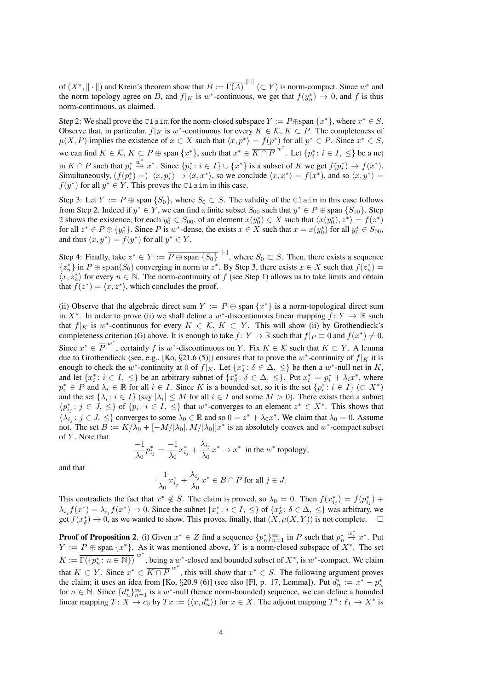of  $(X^*, \| \cdot \|)$  and Krein's theorem show that  $B := \overline{\Gamma(A)}^{\| \cdot \|} \subset Y$  is norm-compact. Since  $w^*$  and the norm topology agree on B, and  $f|_K$  is w\*-continuous, we get that  $f(y_n^*) \to 0$ , and f is thus norm-continuous, as claimed.

Step 2: We shall prove the Claim for the norm-closed subspace  $Y := P \oplus \text{span } \{x^*\}$ , where  $x^* \in S$ . Observe that, in particular,  $f|_K$  is w<sup>\*</sup>-continuous for every  $K \in \mathcal{K}$ ,  $K \subset P$ . The completeness of  $\mu(X, P)$  implies the existence of  $x \in X$  such that  $\langle x, p^* \rangle = f(p^*)$  for all  $p^* \in P$ . Since  $x^* \in S$ , we can find  $K \in \mathcal{K}, K \subset P \oplus \text{span } \{x^*\},$  such that  $x^* \in \overline{K \cap P}^{w^*}$ . Let  $\{p_i^* : i \in I, \leq\}$  be a net in  $K \cap P$  such that  $p_i^*$  $w^* \nightharpoonup x^*$ . Since  $\{p_i^*: i \in I\} \cup \{x^*\}$  is a subset of K we get  $f(p_i^*) \to f(x^*)$ . Simultaneously,  $(f(p_i^*) =) \langle x, p_i^* \rangle \to \langle x, x^* \rangle$ , so we conclude  $\langle x, x^* \rangle = f(x^*)$ , and so  $\langle x, y^* \rangle =$  $f(y^*)$  for all  $y^* \in Y$ . This proves the Claim in this case.

Step 3: Let  $Y := P \oplus \text{span} \{S_0\}$ , where  $S_0 \subset S$ . The validity of the Claim in this case follows from Step 2. Indeed if  $y^* \in Y$ , we can find a finite subset  $S_{00}$  such that  $y^* \in P \oplus$  span  $\{S_{00}\}\$ . Step 2 shows the existence, for each  $y_0^* \in S_{00}$ , of an element  $x(y_0^*) \in X$  such that  $\langle x(y_0^*), z^* \rangle = f(z^*)$ for all  $z^* \in P \oplus \{y_0^*\}$ . Since P is  $w^*$ -dense, the exists  $x \in X$  such that  $x = x(y_0^*)$  for all  $y_0^* \in S_{00}$ , and thus  $\langle x, y^* \rangle = f(y^*)$  for all  $y^* \in Y$ .

Step 4: Finally, take  $z^* \in Y := \overline{P \oplus \text{span} \{S_0\}}^{\|\cdot\|}$ , where  $S_0 \subset S$ . Then, there exists a sequence  $\{z_n^*\}$  in  $P \oplus \text{span}(S_0)$  converging in norm to  $z^*$ . By Step 3, there exists  $x \in X$  such that  $f(z_n^*) =$  $\langle x, z_n^* \rangle$  for every  $n \in \mathbb{N}$ . The norm-continuity of f (see Step 1) allows us to take limits and obtain that  $f(z^*) = \langle x, z^* \rangle$ , which concludes the proof.

(ii) Observe that the algebraic direct sum  $Y := P \oplus \text{span} \{x^*\}$  is a norm-topological direct sum in X<sup>\*</sup>. In order to prove (ii) we shall define a w<sup>\*</sup>-discontinuous linear mapping  $\hat{f}: Y \to \mathbb{R}$  such that  $f|_K$  is w\*-continuous for every  $K \in \mathcal{K}$ ,  $K \subset Y$ . This will show (ii) by Grothendieck's completeness criterion (G) above. It is enough to take  $f: Y \to \mathbb{R}$  such that  $f|_P \equiv 0$  and  $f(x^*) \neq 0$ . Since  $x^* \in \overline{P}^{w^*}$ , certainly f is w\*-discontinuous on Y. Fix  $K \in \mathcal{K}$  such that  $K \subset Y$ . A lemma due to Grothendieck (see, e.g., [Ko, §21.6 (5)]) ensures that to prove the w<sup>\*</sup>-continuity of  $f|_K$  it is enough to check the w<sup>\*</sup>-continuity at 0 of  $f|_K$ . Let  $\{x^*_{\delta} : \delta \in \Delta, \leq\}$  be then a w<sup>\*</sup>-null net in K, and let  $\{x_i^*: i \in I, \leq\}$  be an arbitrary subnet of  $\{x_\delta^*: \delta \in \Delta, \leq\}$ . Put  $x_i^* = p_i^* + \lambda_i x^*$ , where  $p_i^* \in P$  and  $\lambda_i \in \mathbb{R}$  for all  $i \in I$ . Since K is a bounded set, so it is the set  $\{p_i^* : i \in I\} \subset X^*$ and the set  $\{\lambda_i : i \in I\}$  (say  $|\lambda_i| \leq M$  for all  $i \in I$  and some  $M > 0$ ). There exists then a subnet  ${p_{i,j}^* : j \in J, \leq}$  of  ${p_i : i \in I, \leq}$  that w\*-converges to an element  $z^* \in X^*$ . This shows that  $\{\lambda_{i,j}: j \in J, \leq\}$  converges to some  $\lambda_0 \in \mathbb{R}$  and so  $0 = z^* + \lambda_0 x^*$ . We claim that  $\lambda_0 = 0$ . Assume not. The set  $B := K/\lambda_0 + [-M/|\lambda_0|, M/|\lambda_0|]x^*$  is an absolutely convex and w\*-compact subset of Y. Note that

$$
\frac{-1}{\lambda_0}p_{i_j}^* = \frac{-1}{\lambda_0}x_{i_j}^* + \frac{\lambda_{i_j}}{\lambda_0}x^* \to x^*
$$
 in the  $w^*$  topology,

and that

$$
\frac{-1}{\lambda_0}x_{i_j}^* + \frac{\lambda_{i_j}}{\lambda_0}x^* \in B \cap P \text{ for all } j \in J.
$$

This contradicts the fact that  $x^* \notin S$ . The claim is proved, so  $\lambda_0 = 0$ . Then  $f(x^*_{i,j}) = f(p^*_{i,j}) +$  $\lambda_{i,j} f(x^*) = \lambda_{i,j} f(x^*) \to 0$ . Since the subnet  $\{x_i^* : i \in I, \leq\}$  of  $\{x_{\delta}^* : \delta \in \Delta, \leq\}$  was arbitrary, we get  $f(x_\delta^*) \to 0$ , as we wanted to show. This proves, finally, that  $(X, \mu(X, Y))$  is not complete.  $\square$ 

**Proof of Proposition 2.** (i) Given  $x^* \in Z$  find a sequence  $\{p_n^*\}_{n=1}^{\infty}$  in P such that  $p_n^*$  $\stackrel{w^*}{\rightarrow} x^*$ . Put  $Y := P \oplus \text{span } \{x^*\}.$  As it was mentioned above, Y is a norm-closed subspace of  $X^*$ . The set  $K := \overline{\Gamma(\{p_n^*: n \in \mathbb{N}\})}^{w^*}$ , being a  $w^*$ -closed and bounded subset of  $X^*$ , is  $w^*$ -compact. We claim that  $K \subset Y$ . Since  $x^* \in \overline{K \cap P}^{w^*}$ , this will show that  $x^* \in S$ . The following argument proves the claim; it uses an idea from [Ko, §20.9 (6)] (see also [Fl, p. 17, Lemma]). Put  $d_n^* := x^* - p_n^*$ for  $n \in \mathbb{N}$ . Since  $\{d_n^*\}_{n=1}^\infty$  is a w<sup>\*</sup>-null (hence norm-bounded) sequence, we can define a bounded linear mapping  $T: X \to c_0$  by  $Tx := (\langle x, d_n^* \rangle)$  for  $x \in X$ . The adjoint mapping  $T^* : \ell_1 \to X^*$  is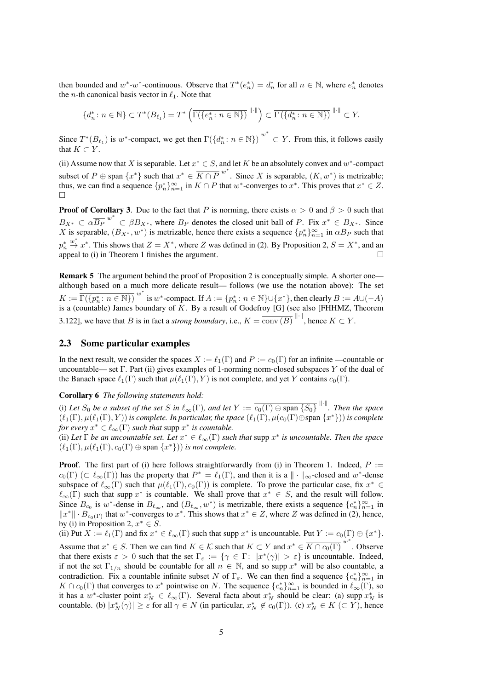then bounded and  $w^*$ - $w^*$ -continuous. Observe that  $T^*(e_n^*) = d_n^*$  for all  $n \in \mathbb{N}$ , where  $e_n^*$  denotes the *n*-th canonical basis vector in  $\ell_1$ . Note that

$$
\{d_n^*: n \in \mathbb{N}\} \subset T^*(B_{\ell_1}) = T^*\left(\overline{\Gamma(\{e_n^*: n \in \mathbb{N}\})}^{\|\cdot\|}\right) \subset \overline{\Gamma(\{d_n^*: n \in \mathbb{N}\})}^{\|\cdot\|} \subset Y.
$$

Since  $T^*(B_{\ell_1})$  is w\*-compact, we get then  $\overline{\Gamma(\{d_n^*: n \in \mathbb{N}\})}^{w^*} \subset Y$ . From this, it follows easily that  $K \subset Y$ .

(ii) Assume now that X is separable. Let  $x^* \in S$ , and let K be an absolutely convex and w<sup>\*</sup>-compact subset of  $P \oplus \text{span } \{x^*\}$  such that  $x^* \in \overline{K \cap P}^{w^*}$ . Since X is separable,  $(K, w^*)$  is metrizable; thus, we can find a sequence  $\{p_n^*\}_{n=1}^{\infty}$  in  $K \cap P$  that  $w^*$ -converges to  $x^*$ . This proves that  $x^* \in Z$ .  $\Box$ 

**Proof of Corollary 3.** Due to the fact that P is norming, there exists  $\alpha > 0$  and  $\beta > 0$  such that  $B_{X^*} \subset \alpha \overline{B_P}^{w^*} \subset \beta B_{X^*}$ , where  $B_P$  denotes the closed unit ball of P. Fix  $x^* \in B_{X^*}$ . Since X is separable,  $(B_{X^*}, w^*)$  is metrizable, hence there exists a sequence  $\{p_n^*\}_{n=1}^\infty$  in  $\alpha B_P$  such that  $p_n^*$  $\stackrel{w^*}{\rightarrow} x^*$ . This shows that  $Z = X^*$ , where Z was defined in (2). By Proposition 2,  $S = X^*$ , and an appeal to (i) in Theorem 1 finishes the argument.  $\Box$ 

**Remark 5** The argument behind the proof of Proposition 2 is conceptually simple. A shorter one although based on a much more delicate result— follows (we use the notation above): The set  $K := \overline{\Gamma(\{p_n^*: n \in \mathbb{N}\})}^{w^*}$  is  $w^*$ -compact. If  $A := \{p_n^*: n \in \mathbb{N}\} \cup \{x^*\}$ , then clearly  $B := A \cup (-A)$ is a (countable) James boundary of  $K$ . By a result of Godefroy [G] (see also [FHHMZ, Theorem 3.122], we have that B is in fact a *strong boundary*, i.e.,  $K = \overline{\text{conv}(B)}^{\|\cdot\|}$ , hence  $K \subset Y$ .

## 2.3 Some particular examples

In the next result, we consider the spaces  $X := \ell_1(\Gamma)$  and  $P := c_0(\Gamma)$  for an infinite —countable or uncountable— set  $\Gamma$ . Part (ii) gives examples of 1-norming norm-closed subspaces Y of the dual of the Banach space  $\ell_1(\Gamma)$  such that  $\mu(\ell_1(\Gamma), Y)$  is not complete, and yet Y contains  $c_0(\Gamma)$ .

## Corollary 6 *The following statements hold:*

(i) Let  $S_0$  be a subset of the set S in  $\ell_\infty(\Gamma)$ , and let  $Y := \overline{c_0(\Gamma) \oplus \text{span}\{S_0\}}^{\|\cdot\|}$ . Then the space  $(\ell_1(\Gamma), \mu(\ell_1(\Gamma), Y))$  *is complete. In particular, the space*  $(\ell_1(\Gamma), \mu(c_0(\Gamma) \oplus \text{span} \{x^*\})$ *) is complete for every*  $x^* \in \ell_\infty(\Gamma)$  *such that* supp  $x^*$  *is countable.* 

(ii) Let  $\Gamma$  *be an uncountable set. Let*  $x^* \in \ell_\infty(\Gamma)$  *such that supp*  $x^*$  *is uncountable. Then the space*  $(\ell_1(\Gamma), \mu(\ell_1(\Gamma), c_0(\Gamma) \oplus \text{span }\{x^*\}) )$  *is not complete.* 

**Proof.** The first part of (i) here follows straightforwardly from (i) in Theorem 1. Indeed,  $P :=$  $c_0(\Gamma)$  ( $\subset \ell_\infty(\Gamma)$ ) has the property that  $P^* = \ell_1(\Gamma)$ , and then it is a  $\|\cdot\|_\infty$ -closed and w<sup>\*</sup>-dense subspace of  $\ell_{\infty}(\Gamma)$  such that  $\mu(\ell_1(\Gamma), c_0(\Gamma))$  is complete. To prove the particular case, fix  $x^* \in$  $\ell_{\infty}(\Gamma)$  such that supp  $x^*$  is countable. We shall prove that  $x^* \in S$ , and the result will follow. Since  $B_{c_0}$  is w<sup>\*</sup>-dense in  $B_{\ell_\infty}$ , and  $(B_{\ell_\infty}, w^*)$  is metrizable, there exists a sequence  $\{c_n^*\}_{n=1}^\infty$  in  $||x^*|| \cdot B_{c_0(\Gamma)}$  that w<sup>\*</sup>-converges to  $x^*$ . This shows that  $x^* \in Z$ , where Z was defined in (2), hence, by (i) in Proposition 2,  $x^* \in S$ .

(ii) Put  $X := \ell_1(\Gamma)$  and fix  $x^* \in \ell_\infty(\Gamma)$  such that supp  $x^*$  is uncountable. Put  $Y := c_0(\Gamma) \oplus \{x^*\}.$ Assume that  $x^* \in S$ . Then we can find  $K \in \mathcal{K}$  such that  $K \subset Y$  and  $x^* \in \overline{K \cap c_0(\Gamma)}^{w^*}$ . Observe that there exists  $\varepsilon > 0$  such that the set  $\Gamma_{\varepsilon} := \{ \gamma \in \Gamma : |x^*(\gamma)| > \varepsilon \}$  is uncountable. Indeed, if not the set  $\Gamma_{1/n}$  should be countable for all  $n \in \mathbb{N}$ , and so supp  $x^*$  will be also countable, a contradiction. Fix a countable infinite subset N of  $\Gamma_{\varepsilon}$ . We can then find a sequence  $\{c_n^*\}_{n=1}^{\infty}$  in  $K \cap c_0(\Gamma)$  that converges to  $x^*$  pointwise on N. The sequence  $\{c_n^*\}_{n=1}^\infty$  is bounded in  $\ell_\infty(\Gamma)$ , so it has a w<sup>\*</sup>-cluster point  $x_N^* \in \ell_\infty(\Gamma)$ . Several facta about  $x_N^*$  should be clear: (a) supp  $x_N^*$  is countable. (b)  $|x_N^*(\gamma)| \geq \varepsilon$  for all  $\gamma \in N$  (in particular,  $x_N^* \notin c_0(\Gamma)$ ). (c)  $x_N^* \in K \subset Y$ ), hence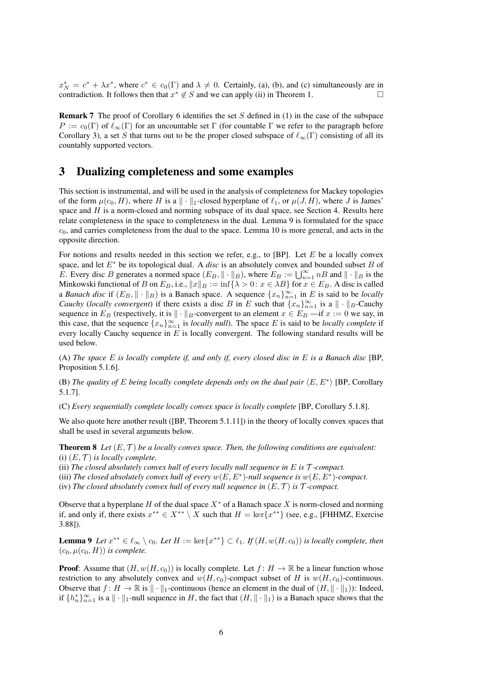$x_N^* = c^* + \lambda x^*$ , where  $c^* \in c_0(\Gamma)$  and  $\lambda \neq 0$ . Certainly, (a), (b), and (c) simultaneously are in contradiction. It follows then that  $x^* \notin S$  and we can apply (ii) in Theorem 1.

**Remark 7** The proof of Corollary 6 identifies the set  $S$  defined in (1) in the case of the subspace  $P := c_0(\Gamma)$  of  $\ell_\infty(\Gamma)$  for an uncountable set  $\Gamma$  (for countable  $\Gamma$  we refer to the paragraph before Corollary 3), a set S that turns out to be the proper closed subspace of  $\ell_{\infty}(\Gamma)$  consisting of all its countably supported vectors.

# 3 Dualizing completeness and some examples

This section is instrumental, and will be used in the analysis of completeness for Mackey topologies of the form  $\mu(c_0, H)$ , where H is a  $\|\cdot\|_1$ -closed hyperplane of  $\ell_1$ , or  $\mu(J, H)$ , where J is James' space and  $H$  is a norm-closed and norming subspace of its dual space, see Section 4. Results here relate completeness in the space to completeness in the dual. Lemma 9 is formulated for the space  $c<sub>0</sub>$ , and carries completeness from the dual to the space. Lemma 10 is more general, and acts in the opposite direction.

For notions and results needed in this section we refer, e.g., to [BP]. Let  $E$  be a locally convex space, and let  $E^*$  be its topological dual. A *disc* is an absolutely convex and bounded subset B of E. Every disc B generates a normed space  $(E_B, \|\cdot\|_B)$ , where  $E_B := \bigcup_{n=1}^{\infty} nB$  and  $\|\cdot\|_B$  is the Minkowski functional of B on  $E_B$ , i.e.,  $||x||_B := \inf{\lambda > 0: x \in \lambda B}$  for  $x \in E_B$ . A disc is called a *Banach disc* if  $(E_B, \|\cdot\|_B)$  is a Banach space. A sequence  $\{x_n\}_{n=1}^{\infty}$  in E is said to be *locally Cauchy* (*locally convergent*) if there exists a disc B in E such that  $\{x_n\}_{n=1}^{\infty}$  is a  $\|\cdot\|_B$ -Cauchy sequence in  $E_B$  (respectively, it is  $\|\cdot\|_B$ -convergent to an element  $x \in E_B$  —if  $x := 0$  we say, in this case, that the sequence  $\{x_n\}_{n=1}^{\infty}$  is *locally null*). The space E is said to be *locally complete* if every locally Cauchy sequence in  $E$  is locally convergent. The following standard results will be used below.

(A) *The space* E *is locally complete if, and only if, every closed disc in* E *is a Banach disc* [BP, Proposition 5.1.6].

(B) *The quality of E being locally complete depends only on the dual pair*  $\langle E, E^* \rangle$  [BP, Corollary 5.1.7].

(C) *Every sequentially complete locally convex space is locally complete* [BP, Corollary 5.1.8].

We also quote here another result ([BP, Theorem 5.1.11]) in the theory of locally convex spaces that shall be used in several arguments below.

**Theorem 8** Let  $(E, \mathcal{T})$  be a locally convex space. Then, the following conditions are equivalent: (i)  $(E, \mathcal{T})$  *is locally complete.* 

(ii) The closed absolutely convex hull of every locally null sequence in  $E$  is  $\mathcal T$ *-compact.* 

(iii) The closed absolutely convex hull of every  $w(E, E^*)$ -null sequence is  $w(E, E^*)$ -compact.

(iv) *The closed absolutely convex hull of every null sequence in*  $(E, \mathcal{T})$  *is*  $\mathcal{T}$ *-compact.* 

Observe that a hyperplane H of the dual space  $X^*$  of a Banach space X is norm-closed and norming if, and only if, there exists  $x^{**} \in X^{**} \setminus X$  such that  $H = \ker\{x^{**}\}\$  (see, e.g., [FHHMZ, Exercise 3.88]).

**Lemma 9** Let  $x^{**} \in \ell_{\infty} \setminus c_0$ . Let  $H := \ker\{x^{**}\} \subset \ell_1$ . If  $(H, w(H, c_0))$  is locally complete, then  $(c_0, \mu(c_0, H))$  *is complete.* 

**Proof:** Assume that  $(H, w(H, c_0))$  is locally complete. Let  $f : H \to \mathbb{R}$  be a linear function whose restriction to any absolutely convex and  $w(H, c_0)$ -compact subset of H is  $w(H, c_0)$ -continuous. Observe that  $f: H \to \mathbb{R}$  is  $\|\cdot\|_1$ -continuous (hence an element in the dual of  $(H, \|\cdot\|_1)$ ): Indeed, if  $\{h_n^*\}_{n=1}^\infty$  is a  $\|\cdot\|_1$ -null sequence in H, the fact that  $(H, \|\cdot\|_1)$  is a Banach space shows that the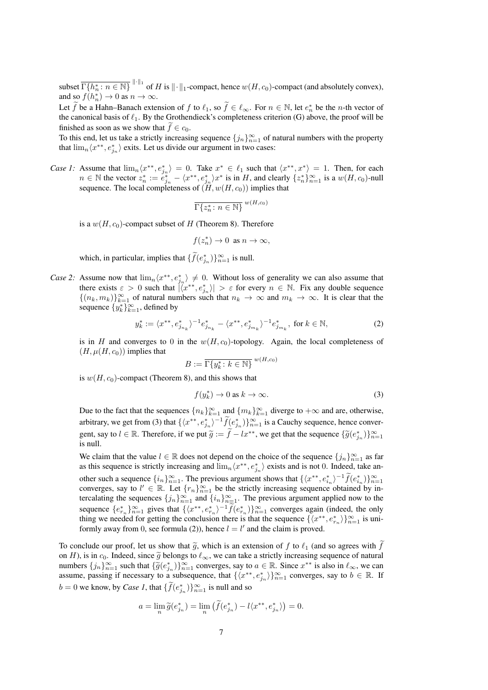subset  $\overline{\Gamma\{h_n^*: n \in \mathbb{N}\}}^{\|\cdot\|_1}$  of H is  $\|\cdot\|_1$ -compact, hence  $w(H, c_0)$ -compact (and absolutely convex), and so  $f(h_n^*) \to 0$  as  $n \to \infty$ .

Let  $\widetilde{f}$  be a Hahn–Banach extension of f to  $\ell_1$ , so  $\widetilde{f} \in \ell_\infty$ . For  $n \in \mathbb{N}$ , let  $e_n^*$  be the n-th vector of the canonical basis of  $\ell_1$ . By the Grothendieck's completeness criterion (G) above, the proof will be finished as soon as we show that  $f \in c_0$ .

To this end, let us take a strictly increasing sequence  ${j_n}_{n=1}^{\infty}$  of natural numbers with the property that  $\lim_{n} \langle x^{**}, e_{j_n}^* \rangle$  exits. Let us divide our argument in two cases:

*Case 1:* Assume that  $\lim_{n} \langle x^{**}, e_{j_n}^* \rangle = 0$ . Take  $x^* \in \ell_1$  such that  $\langle x^{**}, x^* \rangle = 1$ . Then, for each  $n \in \mathbb{N}$  the vector  $z_n^* := e_{j_n}^* - \langle x^{**}, e_{j_n}^* \rangle x^*$  is in H, and clearly  $\{z_n^*\}_{n=1}^\infty$  is a  $w(H, c_0)$ -null sequence. The local completeness of  $(H, w(H, c_0))$  implies that

$$
\overline{\Gamma\{z_n^*: n \in \mathbb{N}\}}^{w(H,c_0)}
$$

is a  $w(H, c_0)$ -compact subset of H (Theorem 8). Therefore

$$
f(z_n^*) \to 0 \text{ as } n \to \infty,
$$

which, in particular, implies that  $\{\widetilde{f}(e_{j_n}^*)\}_{n=1}^\infty$  is null.

*Case 2:* Assume now that  $\lim_{n} \langle x^{**}, e_{j_n}^* \rangle \neq 0$ . Without loss of generality we can also assume that there exists  $\varepsilon > 0$  such that  $\left|\langle x^{**}, e_{j_n}^* \rangle \right| > \varepsilon$  for every  $n \in \mathbb{N}$ . Fix any double sequence  $\{(n_k, m_k)\}_{k=1}^{\infty}$  of natural numbers such that  $n_k \to \infty$  and  $m_k \to \infty$ . It is clear that the sequence  $\{y_k^*\}_{k=1}^\infty$ , defined by

$$
y_k^* := \langle x^{**}, e_{j_{n_k}}^* \rangle^{-1} e_{j_{n_k}}^* - \langle x^{**}, e_{j_{m_k}}^* \rangle^{-1} e_{j_{m_k}}^*, \text{ for } k \in \mathbb{N}, \tag{2}
$$

is in H and converges to 0 in the  $w(H, c_0)$ -topology. Again, the local completeness of  $(H, \mu(H, c_0))$  implies that

$$
B := \overline{\Gamma\{y_k^* \colon k \in \mathbb{N}\}}^{w(H,c_0)}
$$

is  $w(H, c_0)$ -compact (Theorem 8), and this shows that

$$
f(y_k^*) \to 0 \text{ as } k \to \infty. \tag{3}
$$

Due to the fact that the sequences  ${n_k}_{k=1}^{\infty}$  and  ${m_k}_{k=1}^{\infty}$  diverge to  $+\infty$  and are, otherwise, arbitrary, we get from (3) that  $\{\langle x^{**}, e_{j_n}^*\rangle^{-1}\tilde{f}(e_{j_n}^*)\}_{n=1}^\infty$  is a Cauchy sequence, hence convergent, say to  $l \in \mathbb{R}$ . Therefore, if we put  $\widetilde{g} := \widetilde{f} - lx^{**}$ , we get that the sequence  $\{\widetilde{g}(e_{j_n}^*)\}_{n=1}^{\infty}$ is null.

We claim that the value  $l \in \mathbb{R}$  does not depend on the choice of the sequence  $\{j_n\}_{n=1}^{\infty}$  as far as this sequence is strictly increasing and  $\lim_n \langle x^{**}, e_{j_n}^* \rangle$  exists and is not 0. Indeed, take another such a sequence  $\{i_n\}_{n=1}^{\infty}$ . The previous argument shows that  $\{\langle x^{**}, e_{i_n}^*\rangle^{-1}\widetilde{f}(e_{i_n}^*)\}_{n=1}^{\infty}$ converges, say to  $l' \in \mathbb{R}$ . Let  $\{r_n\}_{n=1}^{\infty}$  be the strictly increasing sequence obtained by intercalating the sequences  $\{j_n\}_{n=1}^{\infty}$  and  $\{i_n\}_{n=1}^{\infty}$ . The previous argument applied now to the sequence  $\{e_{r_n}^*\}_{n=1}^\infty$  gives that  $\{\langle x^{**}, e_{r_n}^*\rangle^{-1}\tilde{f}(e_{r_n}^*)\}_{n=1}^\infty$  converges again (indeed, the only thing we needed for getting the conclusion there is that the sequence  $\{\langle x^{**}, e_{r_n}^* \rangle\}_{n=1}^{\infty}$  is uniformly away from 0, see formula (2)), hence  $l = l'$  and the claim is proved.

To conclude our proof, let us show that  $\tilde{g}$ , which is an extension of f to  $\ell_1$  (and so agrees with  $\tilde{f}$ on H), is in  $c_0$ . Indeed, since  $\widetilde{g}$  belongs to  $\ell_{\infty}$ , we can take a strictly increasing sequence of natural numbers  $\{j_n\}_{n=1}^{\infty}$  such that  $\{\widetilde{g}(e_{j_n}^*)\}_{n=1}^{\infty}$  converges, say to  $a \in \mathbb{R}$ . Since  $x^{**}$  is also in  $\ell_{\infty}$ , we can assume possing if pecessary to a subsequence that  $\{\ell x^{**} \leq x^* \leq x^{**}\}$ assume, passing if necessary to a subsequence, that  $\{\langle x^{**}, e_{j_n}^* \rangle\}_{n=1}^{\infty}$  converges, say to  $b \in \mathbb{R}$ . If  $b = 0$  we know, by *Case 1*, that  $\{ \tilde{f}(e_{j_n}^*) \}_{n=1}^{\infty}$  is null and so

$$
a = \lim_{n} \widetilde{g}(e_{j_n}^*) = \lim_{n} \left( \widetilde{f}(e_{j_n}^*) - l \langle x^{**}, e_{j_n}^* \rangle \right) = 0.
$$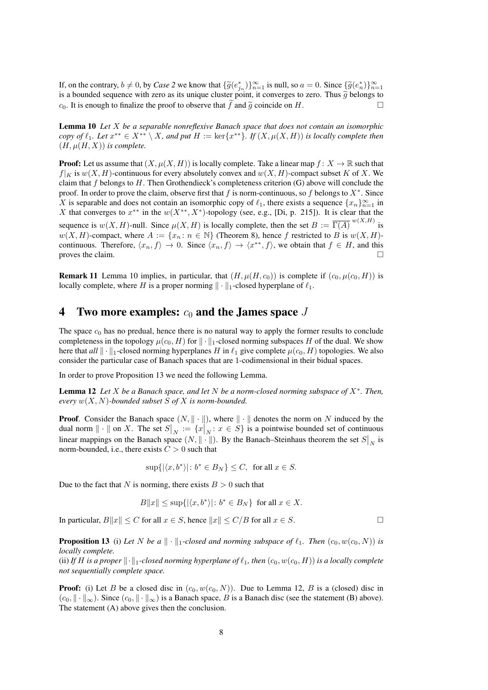If, on the contrary,  $b \neq 0$ , by *Case 2* we know that  $\{\widetilde{g}(e_{j_n}^*)\}_{n=1}^{\infty}$  is null, so  $a = 0$ . Since  $\{\widetilde{g}(e_n^*)\}_{n=1}^{\infty}$  is a bounded sequence with zero as its unique cluster point it converges to zero. Th is a bounded sequence with zero as its unique cluster point, it converges to zero. Thus  $\tilde{g}$  belongs to  $c_0$ . It is enough to finalize the proof to observe that f and  $\tilde{g}$  coincide on H.

Lemma 10 *Let* X *be a separable nonreflexive Banach space that does not contain an isomorphic copy of*  $\ell_1$ *. Let*  $x^{**} \in X^{**} \setminus X$ *, and put*  $H := \ker\{x^{**}\}\$ *. If*  $(X, \mu(X, H))$  *is locally complete then*  $(H, \mu(H, X))$  *is complete.* 

**Proof:** Let us assume that  $(X, \mu(X, H))$  is locally complete. Take a linear map  $f: X \to \mathbb{R}$  such that  $f|_K$  is  $w(X, H)$ -continuous for every absolutely convex and  $w(X, H)$ -compact subset K of X. We claim that f belongs to H. Then Grothendieck's completeness criterion  $(G)$  above will conclude the proof. In order to prove the claim, observe first that f is norm-continuous, so f belongs to  $X^*$ . Since X is separable and does not contain an isomorphic copy of  $\ell_1$ , there exists a sequence  ${x_n}_{n=1}^{\infty}$  in X that converges to  $x^{**}$  in the  $w(X^{**}, X^*)$ -topology (see, e.g., [Di, p. 215]). It is clear that the sequence is  $w(X, H)$ -null. Since  $\mu(X, H)$  is locally complete, then the set  $B := \overline{\Gamma(A)}^{w(X,H)}$  is  $w(X, H)$ -compact, where  $A := \{x_n : n \in \mathbb{N}\}\$  (Theorem 8), hence f restricted to B is  $w(X, H)$ continuous. Therefore,  $\langle x_n, f \rangle \to 0$ . Since  $\langle x_n, f \rangle \to \langle x^{**}, f \rangle$ , we obtain that  $f \in H$ , and this proves the claim.  $\Box$ 

**Remark 11** Lemma 10 implies, in particular, that  $(H, \mu(H, c_0))$  is complete if  $(c_0, \mu(c_0, H))$  is locally complete, where H is a proper norming  $\|\cdot\|_1$ -closed hyperplane of  $\ell_1$ .

# 4 Two more examples:  $c_0$  and the James space J

The space  $c_0$  has no predual, hence there is no natural way to apply the former results to conclude completeness in the topology  $\mu(c_0, H)$  for  $\|\cdot\|_1$ -closed norming subspaces H of the dual. We show here that  $all \cdot ||_1$ -closed norming hyperplanes H in  $\ell_1$  give complete  $\mu(c_0, H)$  topologies. We also consider the particular case of Banach spaces that are 1-codimensional in their bidual spaces.

In order to prove Proposition 13 we need the following Lemma.

Lemma 12 *Let* X *be a Banach space, and let* N *be a norm-closed norming subspace of* X<sup>∗</sup> *. Then, every* w(X, N)*-bounded subset* S *of* X *is norm-bounded.*

**Proof.** Consider the Banach space  $(N, \|\cdot\|)$ , where  $\|\cdot\|$  denotes the norm on N induced by the dual norm  $\|\cdot\|$  on X. The set  $S\|_{N} := \{x\}_{N} : x \in S\}$  is a pointwise bounded set of continuous linear mappings on the Banach space  $(N, \|\cdot\|)$ . By the Banach–Steinhaus theorem the set  $S|_N$  is norm-bounded, i.e., there exists  $C > 0$  such that

$$
\sup\{|\langle x, b^*\rangle|: b^*\in B_N\}\leq C, \text{ for all } x\in S.
$$

Due to the fact that N is norming, there exists  $B > 0$  such that

$$
B||x|| \le \sup\{|\langle x, b^*\rangle| \colon b^* \in B_N\} \text{ for all } x \in X.
$$

In particular,  $B||x|| \le C$  for all  $x \in S$ , hence  $||x|| \le C/B$  for all  $x \in S$ .

**Proposition 13** (i) Let N be a  $\|\cdot\|_1$ -closed and norming subspace of  $\ell_1$ . Then  $(c_0, w(c_0, N))$  is *locally complete.*

(ii) If H is a proper  $\|\cdot\|_1$ -closed norming hyperplane of  $\ell_1$ , then  $(c_0, w(c_0, H))$  is a locally complete *not sequentially complete space.*

**Proof:** (i) Let B be a closed disc in  $(c_0, w(c_0, N))$ . Due to Lemma 12, B is a (closed) disc in  $(c_0, \|\cdot\|_{\infty})$ . Since  $(c_0, \|\cdot\|_{\infty})$  is a Banach space, B is a Banach disc (see the statement (B) above). The statement (A) above gives then the conclusion.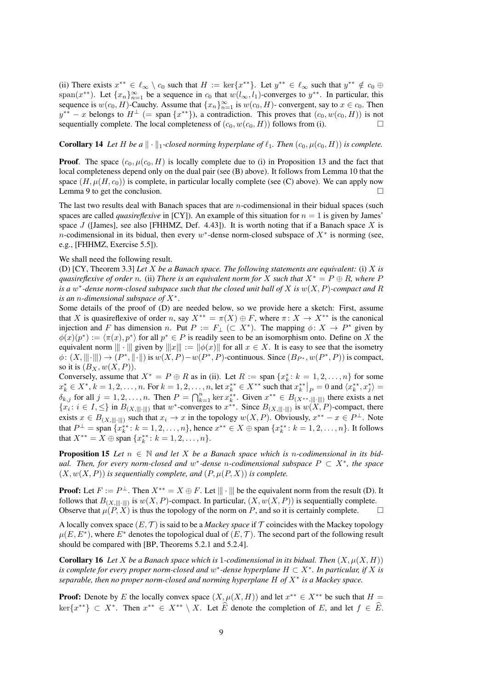(ii) There exists  $x^{**} \in \ell_{\infty} \setminus c_0$  such that  $H := \ker\{x^{**}\}\.$  Let  $y^{**} \in \ell_{\infty}$  such that  $y^{**} \notin c_0 \oplus \ell_{\infty}$ span( $x^{**}$ ). Let  $\{x_n\}_{n=1}^{\infty}$  be a sequence in  $c_0$  that  $w(l_{\infty}, l_1)$ -converges to  $y^{**}$ . In particular, this sequence is  $w(c_0, H)$ -Cauchy. Assume that  $\{x_n\}_{n=1}^{\infty}$  is  $w(c_0, H)$ - convergent, say to  $x \in c_0$ . Then  $y^{**} - x$  belongs to  $H^{\perp}$  (= span  $\{x^{**}\}\)$ , a contradiction. This proves that  $(c_0, w(c_0, H))$  is not sequentially complete. The local completeness of  $(c_0, w(c_0, H))$  follows from (i).

#### **Corollary 14** Let H be a  $\|\cdot\|_1$ -closed norming hyperplane of  $\ell_1$ . Then  $(c_0, \mu(c_0, H))$  is complete.

**Proof.** The space  $(c_0, \mu(c_0, H)$  is locally complete due to (i) in Proposition 13 and the fact that local completeness depend only on the dual pair (see (B) above). It follows from Lemma 10 that the space  $(H, \mu(H, c_0))$  is complete, in particular locally complete (see (C) above). We can apply now Lemma 9 to get the conclusion.  $\Box$ 

The last two results deal with Banach spaces that are  $n$ -codimensional in their bidual spaces (such spaces are called *quasireflexive* in  $[CY]$ ). An example of this situation for  $n = 1$  is given by James' space J ([James], see also [FHHMZ, Def. 4.43]). It is worth noting that if a Banach space X is *n*-codimensional in its bidual, then every  $w^*$ -dense norm-closed subspace of  $X^*$  is norming (see, e.g., [FHHMZ, Exercise 5.5]).

#### We shall need the following result.

(D) [CY, Theorem 3.3] *Let* X *be a Banach space. The following statements are equivalent:* (i) X *is quasireflexive of order* n. (ii) *There is an equivalent norm for* X *such that*  $X^* = P \oplus R$ *, where* P *is a* w ∗ *-dense norm-closed subspace such that the closed unit ball of* X *is* w(X, P)*-compact and* R *is an* n*-dimensional subspace of* X<sup>∗</sup> .

Some details of the proof of (D) are needed below, so we provide here a sketch: First, assume that X is quasireflexive of order n, say  $X^{**} = \pi(X) \oplus F$ , where  $\pi: X \to X^{**}$  is the canonical injection and F has dimension n. Put  $P := F_{\perp} \subset X^*$ ). The mapping  $\phi \colon X \to P^*$  given by  $\phi(x)(p^*) := \langle \pi(x), p^* \rangle$  for all  $p^* \in P$  is readily seen to be an isomorphism onto. Define on X the equivalent norm  $\| \cdot \|$  given by  $\|x\| := \|\phi(x)\|$  for all  $x \in X$ . It is easy to see that the isometry  $\phi: (X, \|\|\cdot\|) \to (P^*, \|\cdot\|)$  is  $w(X, P) - w(P^*, P)$ -continuous. Since  $(B_{P^*}, w(P^*, P))$  is compact, so it is  $(B_X, w(X, P)).$ 

Conversely, assume that  $X^* = P \oplus R$  as in (ii). Let  $R := \text{span} \{x_k^* : k = 1, 2, ..., n\}$  for some  $x_k^* \in X^*, k = 1, 2, \dots, n$ . For  $k = 1, 2, \dots, n$ , let  $x_k^{**} \in X^{**}$  such that  $x_k^{**} \mid_P = 0$  and  $\langle x_k^{**}, x_j^{*} \rangle =$  $\delta_{k,j}$  for all  $j = 1, 2, \ldots, n$ . Then  $P = \bigcap_{k=1}^{n} \ker x_k^{**}$ . Given  $x^{**} \in B_{(X^{**}, \| \| \cdot \| \|)}$  there exists a net  ${x_i : i \in I, \leq}$  in  $B_{(X, \| \| \cdot \| \|)}$  that w<sup>\*</sup>-converges to  $x^{**}$ . Since  $B_{(X, \| \| \cdot \| \|)}$  is  $w(X, P)$ -compact, there exists  $x \in B_{(X, \|\|\cdot\|)}$  such that  $x_i \to x$  in the topology  $w(X, P)$ . Obviously,  $x^{**} - x \in P^{\perp}$ . Note that  $P^{\perp} = \text{span} \{x_k^{**}: k = 1, 2, ..., n\}$ , hence  $x^{**} \in X \oplus \text{span} \{x_k^{**}: k = 1, 2, ..., n\}$ . It follows that  $X^{**} = X \oplus \text{span } \{x_k^{**}: k = 1, 2, ..., n\}.$ 

**Proposition 15** Let  $n \in \mathbb{N}$  and let X be a Banach space which is n-codimensional in its bid*ual. Then, for every norm-closed and* w ∗ *-dense* n*-codimensional subspace* P ⊂ X<sup>∗</sup> *, the space*  $(X, w(X, P))$  *is sequentially complete, and*  $(P, \mu(P, X))$  *is complete.* 

**Proof:** Let  $F := P^{\perp}$ . Then  $X^{**} = X \oplus F$ . Let  $\|\|\cdot\|\|$  be the equivalent norm from the result (D). It follows that  $B_{(X, \| \| \cdot \| \|)}$  is  $w(X, P)$ -compact. In particular,  $(X, w(X, P))$  is sequentially complete. Observe that  $\mu(P, X)$  is thus the topology of the norm on P, and so it is certainly complete.

A locally convex space  $(E, \mathcal{T})$  is said to be a *Mackey space* if  $\mathcal{T}$  coincides with the Mackey topology  $\mu(E, E^*)$ , where  $E^*$  denotes the topological dual of  $(E, \mathcal{T})$ . The second part of the following result should be compared with [BP, Theorems 5.2.1 and 5.2.4].

**Corollary 16** Let X be a Banach space which is 1-codimensional in its bidual. Then  $(X, \mu(X, H))$ *is complete for every proper norm-closed and*  $w^*$ -dense hyperplane  $H \subset X^*$ . In particular, if X is *separable, then no proper norm-closed and norming hyperplane* H *of* X<sup>∗</sup> *is a Mackey space.*

**Proof:** Denote by E the locally convex space  $(X, \mu(X, H))$  and let  $x^{**} \in X^{**}$  be such that  $H =$  $\ker\{x^{**}\}\subset X^*$ . Then  $x^{**}\in X^{**}\setminus X$ . Let  $\widehat{E}$  denote the completion of E, and let  $f \in \widehat{E}$ .